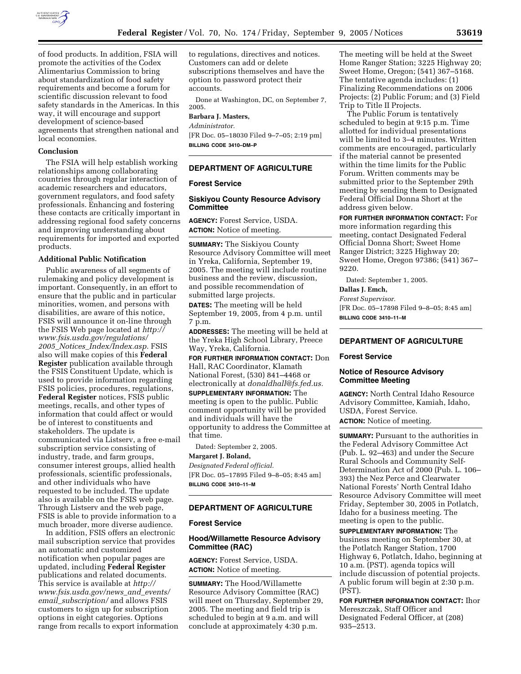

of food products. In addition, FSIA will promote the activities of the Codex Alimentarius Commission to bring about standardization of food safety requirements and become a forum for scientific discussion relevant to food safety standards in the Americas. In this way, it will encourage and support development of science-based agreements that strengthen national and local economies.

# **Conclusion**

The FSIA will help establish working relationships among collaborating countries through regular interaction of academic researchers and educators, government regulators, and food safety professionals. Enhancing and fostering these contacts are critically important in addressing regional food safety concerns and improving understanding about requirements for imported and exported products.

#### **Additional Public Notification**

Public awareness of all segments of rulemaking and policy development is important. Consequently, in an effort to ensure that the public and in particular minorities, women, and persons with disabilities, are aware of this notice, FSIS will announce it on-line through the FSIS Web page located at *http:// www.fsis.usda.gov/regulations/ 2005*\_*Notices*\_*Index/Index.asp.* FSIS also will make copies of this **Federal Register** publication available through the FSIS Constituent Update, which is used to provide information regarding FSIS policies, procedures, regulations, **Federal Register** notices, FSIS public meetings, recalls, and other types of information that could affect or would be of interest to constituents and stakeholders. The update is communicated via Listserv, a free e-mail subscription service consisting of industry, trade, and farm groups, consumer interest groups, allied health professionals, scientific professionals, and other individuals who have requested to be included. The update also is available on the FSIS web page. Through Listserv and the web page, FSIS is able to provide information to a much broader, more diverse audience.

In addition, FSIS offers an electronic mail subscription service that provides an automatic and customized notification when popular pages are updated, including **Federal Register**  publications and related documents. This service is available at *http:// www.fsis.usda.gov/news*\_*and*\_*events/ email*\_*subscription/* and allows FSIS customers to sign up for subscription options in eight categories. Options range from recalls to export information to regulations, directives and notices. Customers can add or delete subscriptions themselves and have the option to password protect their accounts.

Done at Washington, DC, on September 7, 2005.

# **Barbara J. Masters,**

*Administrator.*  [FR Doc. 05–18030 Filed 9–7–05; 2:19 pm]

**BILLING CODE 3410–DM–P** 

## **DEPARTMENT OF AGRICULTURE**

## **Forest Service**

### **Siskiyou County Resource Advisory Committee**

**AGENCY:** Forest Service, USDA. **ACTION:** Notice of meeting.

**SUMMARY:** The Siskiyou County Resource Advisory Committee will meet in Yreka, California, September 19, 2005. The meeting will include routine business and the review, discussion, and possible recommendation of submitted large projects.

**DATES:** The meeting will be held September 19, 2005, from 4 p.m. until 7 p.m.

**ADDRESSES:** The meeting will be held at the Yreka High School Library, Preece Way, Yreka, California.

**FOR FURTHER INFORMATION CONTACT:** Don Hall, RAC Coordinator, Klamath National Forest, (530) 841–4468 or electronically at *donaldhall@fs.fed.us.* 

**SUPPLEMENTARY INFORMATION:** The meeting is open to the public. Public comment opportunity will be provided and individuals will have the opportunity to address the Committee at that time.

Dated: September 2, 2005. **Margaret J. Boland,** 

*Designated Federal official.*  [FR Doc. 05–17895 Filed 9–8–05; 8:45 am] **BILLING CODE 3410–11–M** 

## **DEPARTMENT OF AGRICULTURE**

### **Forest Service**

## **Hood/Willamette Resource Advisory Committee (RAC)**

**AGENCY:** Forest Service, USDA. **ACTION:** Notice of meeting.

**SUMMARY:** The Hood/Willamette Resource Advisory Committee (RAC) will meet on Thursday, September 29, 2005. The meeting and field trip is scheduled to begin at 9 a.m. and will conclude at approximately 4:30 p.m.

The meeting will be held at the Sweet Home Ranger Station; 3225 Highway 20; Sweet Home, Oregon; (541) 367–5168. The tentative agenda includes: (1) Finalizing Recommendations on 2006 Projects: (2) Public Forum; and (3) Field Trip to Title II Projects.

The Public Forum is tentatively scheduled to begin at 9:15 p.m. Time allotted for individual presentations will be limited to 3–4 minutes. Written comments are encouraged, particularly if the material cannot be presented within the time limits for the Public Forum. Written comments may be submitted prior to the September 29th meeting by sending them to Designated Federal Official Donna Short at the address given below.

**FOR FURTHER INFORMATION CONTACT:** For

more information regarding this meeting, contact Designated Federal Official Donna Short; Sweet Home Ranger District; 3225 Highway 20; Sweet Home, Oregon 97386; (541) 367– 9220.

Dated: September 1, 2005.

# **Dallas J. Emch,**

*Forest Supervisor.*  [FR Doc. 05–17898 Filed 9–8–05; 8:45 am] **BILLING CODE 3410–11–M** 

# **DEPARTMENT OF AGRICULTURE**

### **Forest Service**

#### **Notice of Resource Advisory Committee Meeting**

**AGENCY:** North Central Idaho Resource Advisory Committee, Kamiah, Idaho, USDA, Forest Service.

**ACTION:** Notice of meeting.

**SUMMARY:** Pursuant to the authorities in the Federal Advisory Committee Act (Pub. L. 92–463) and under the Secure Rural Schools and Community Self-Determination Act of 2000 (Pub. L. 106– 393) the Nez Perce and Clearwater National Forests' North Central Idaho Resource Advisory Committee will meet Friday, September 30, 2005 in Potlatch, Idaho for a business meeting. The meeting is open to the public.

**SUPPLEMENTARY INFORMATION:** The business meeting on September 30, at the Potlatch Ranger Station, 1700 Highway 6, Potlatch, Idaho, beginning at 10 a.m. (PST). agenda topics will include discussion of potential projects. A public forum will begin at 2:30 p.m. (PST).

**FOR FURTHER INFORMATION CONTACT:** Ihor Mereszczak, Staff Officer and Designated Federal Officer, at (208) 935–2513.